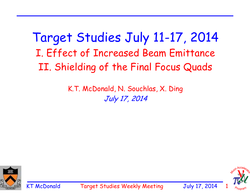Target Studies July 11-17, 2014 I. Effect of Increased Beam Emittance II. Shielding of the Final Focus Quads

> K.T. McDonald, N. Souchlas, X. Ding July 17, 2014



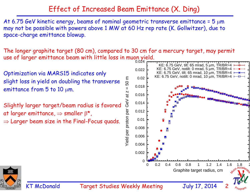## Effect of Increased Beam Emittance (X. Ding)

At 6.75 GeV kinetic energy, beams of nominal geometric transverse emittance =  $5 \mu m$ may not be possible with powers above 1 MW at 60 Hz rep rate (K. Gollwitzer), due to space-charge emittance blowup.

The longer graphite target (80 cm), compared to 30 cm for a mercury target, may permit use of larger emittance beam with little loss in muon yield.

Optimization via MARS15 indicates only 50 m slight loss in yield on doubling the transverse  $\mathbf{I}$ emittance from  $5$  to 10  $\mu$ m. at z Slightly larger target/beam radius is favored

at larger emittance,  $\Rightarrow$  smaller  $\beta^*$ ,  $\Rightarrow$  Larger beam size in the Final-Focus quads.





KT McDonald Target Studies Weekly Meeting July 17, 201